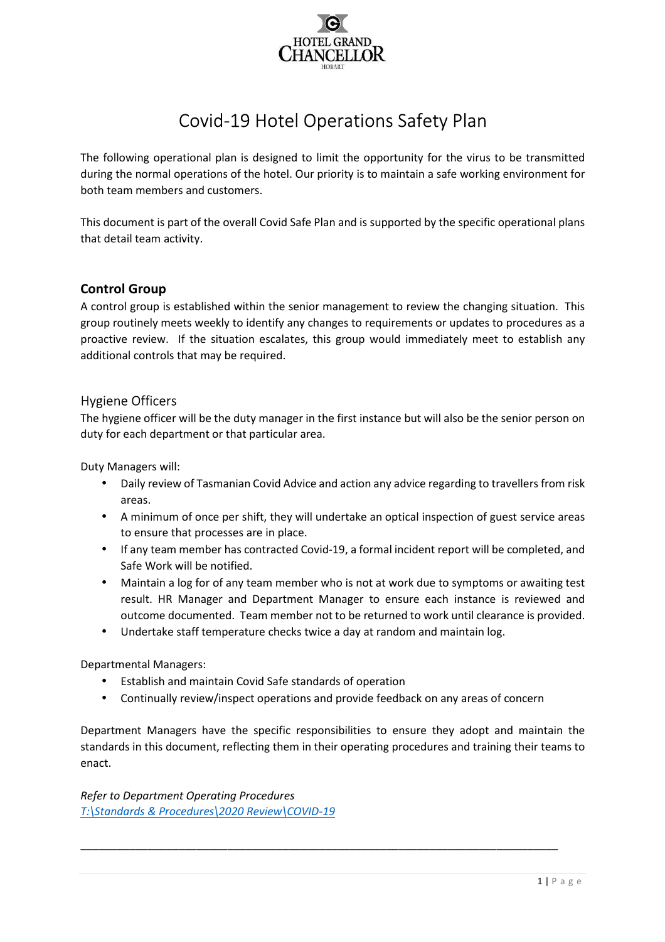

# Covid-19 Hotel Operations Safety Plan

The following operational plan is designed to limit the opportunity for the virus to be transmitted during the normal operations of the hotel. Our priority is to maintain a safe working environment for both team members and customers.

This document is part of the overall Covid Safe Plan and is supported by the specific operational plans that detail team activity.

# **Control Group**

A control group is established within the senior management to review the changing situation. This group routinely meets weekly to identify any changes to requirements or updates to procedures as a proactive review. If the situation escalates, this group would immediately meet to establish any additional controls that may be required.

# Hygiene Officers

The hygiene officer will be the duty manager in the first instance but will also be the senior person on duty for each department or that particular area.

Duty Managers will:

- Daily review of Tasmanian Covid Advice and action any advice regarding to travellers from risk areas.
- A minimum of once per shift, they will undertake an optical inspection of guest service areas to ensure that processes are in place.
- If any team member has contracted Covid-19, a formal incident report will be completed, and Safe Work will be notified.
- Maintain a log for of any team member who is not at work due to symptoms or awaiting test result. HR Manager and Department Manager to ensure each instance is reviewed and outcome documented. Team member not to be returned to work until clearance is provided.
- Undertake staff temperature checks twice a day at random and maintain log.

Departmental Managers:

- Establish and maintain Covid Safe standards of operation
- Continually review/inspect operations and provide feedback on any areas of concern

\_\_\_\_\_\_\_\_\_\_\_\_\_\_\_\_\_\_\_\_\_\_\_\_\_\_\_\_\_\_\_\_\_\_\_\_\_\_\_\_\_\_\_\_\_\_\_\_\_\_\_\_\_\_\_\_\_\_\_\_\_\_\_\_\_\_\_\_\_\_\_\_\_\_\_\_\_\_

Department Managers have the specific responsibilities to ensure they adopt and maintain the standards in this document, reflecting them in their operating procedures and training their teams to enact.

*Refer to Department Operating Procedures T:\Standards & Procedures\2020 Review\COVID-19*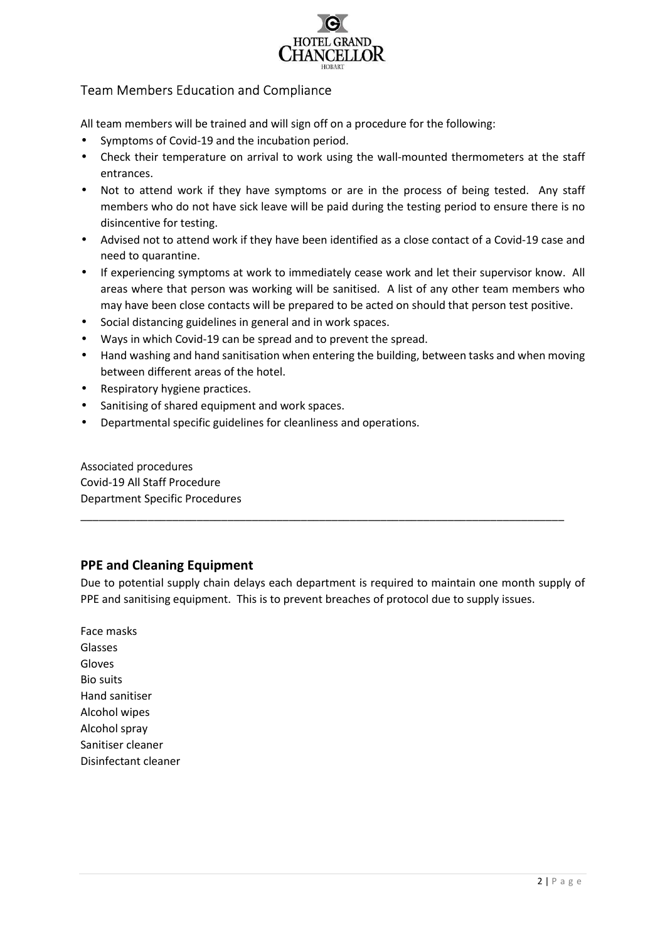

# Team Members Education and Compliance

All team members will be trained and will sign off on a procedure for the following:

- Symptoms of Covid-19 and the incubation period.
- Check their temperature on arrival to work using the wall-mounted thermometers at the staff entrances.
- Not to attend work if they have symptoms or are in the process of being tested. Any staff members who do not have sick leave will be paid during the testing period to ensure there is no disincentive for testing.
- Advised not to attend work if they have been identified as a close contact of a Covid-19 case and need to quarantine.
- If experiencing symptoms at work to immediately cease work and let their supervisor know. All areas where that person was working will be sanitised. A list of any other team members who may have been close contacts will be prepared to be acted on should that person test positive.
- Social distancing guidelines in general and in work spaces.
- Ways in which Covid-19 can be spread and to prevent the spread.
- Hand washing and hand sanitisation when entering the building, between tasks and when moving between different areas of the hotel.
- Respiratory hygiene practices.
- Sanitising of shared equipment and work spaces.
- Departmental specific guidelines for cleanliness and operations.

# Associated procedures

Covid-19 All Staff Procedure Department Specific Procedures

# **PPE and Cleaning Equipment**

Due to potential supply chain delays each department is required to maintain one month supply of PPE and sanitising equipment. This is to prevent breaches of protocol due to supply issues.

\_\_\_\_\_\_\_\_\_\_\_\_\_\_\_\_\_\_\_\_\_\_\_\_\_\_\_\_\_\_\_\_\_\_\_\_\_\_\_\_\_\_\_\_\_\_\_\_\_\_\_\_\_\_\_\_\_\_\_\_\_\_\_\_\_\_\_\_\_\_\_\_\_\_\_\_\_\_\_

Face masks Glasses Gloves Bio suits Hand sanitiser Alcohol wipes Alcohol spray Sanitiser cleaner Disinfectant cleaner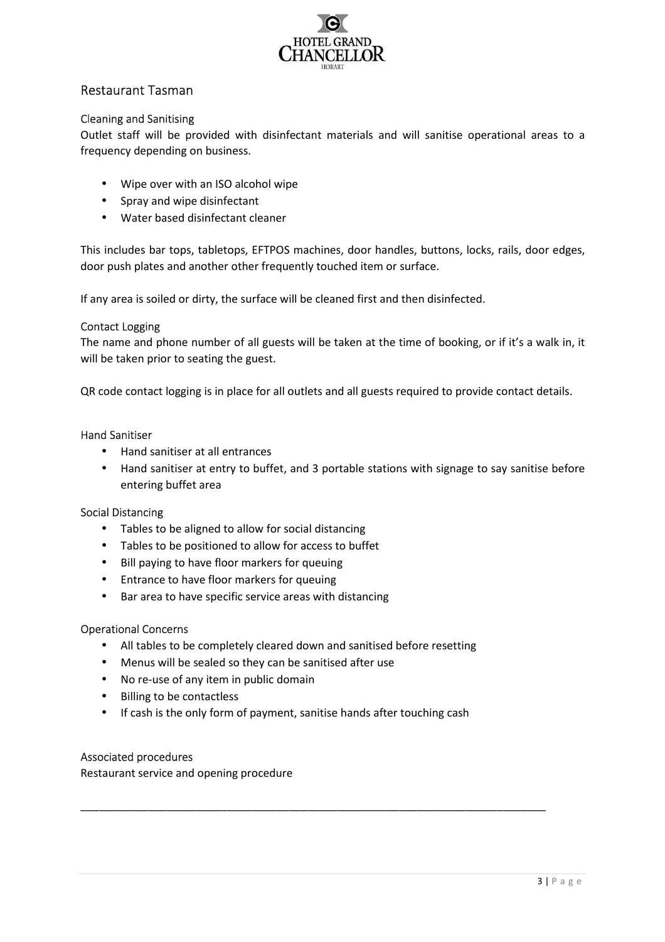

# Restaurant Tasman

# Cleaning and Sanitising

Outlet staff will be provided with disinfectant materials and will sanitise operational areas to a frequency depending on business.

- Wipe over with an ISO alcohol wipe
- Spray and wipe disinfectant
- Water based disinfectant cleaner

This includes bar tops, tabletops, EFTPOS machines, door handles, buttons, locks, rails, door edges, door push plates and another other frequently touched item or surface.

If any area is soiled or dirty, the surface will be cleaned first and then disinfected.

# Contact Logging

The name and phone number of all guests will be taken at the time of booking, or if it's a walk in, it will be taken prior to seating the guest.

QR code contact logging is in place for all outlets and all guests required to provide contact details.

## Hand Sanitiser

- Hand sanitiser at all entrances
- Hand sanitiser at entry to buffet, and 3 portable stations with signage to say sanitise before entering buffet area

## Social Distancing

- Tables to be aligned to allow for social distancing
- Tables to be positioned to allow for access to buffet
- Bill paying to have floor markers for queuing
- Entrance to have floor markers for queuing
- Bar area to have specific service areas with distancing

## Operational Concerns

- All tables to be completely cleared down and sanitised before resetting
- Menus will be sealed so they can be sanitised after use
- No re-use of any item in public domain
- Billing to be contactless
- If cash is the only form of payment, sanitise hands after touching cash

\_\_\_\_\_\_\_\_\_\_\_\_\_\_\_\_\_\_\_\_\_\_\_\_\_\_\_\_\_\_\_\_\_\_\_\_\_\_\_\_\_\_\_\_\_\_\_\_\_\_\_\_\_\_\_\_\_\_\_\_\_\_\_\_\_\_\_\_\_\_\_\_\_\_\_\_

## Associated procedures

Restaurant service and opening procedure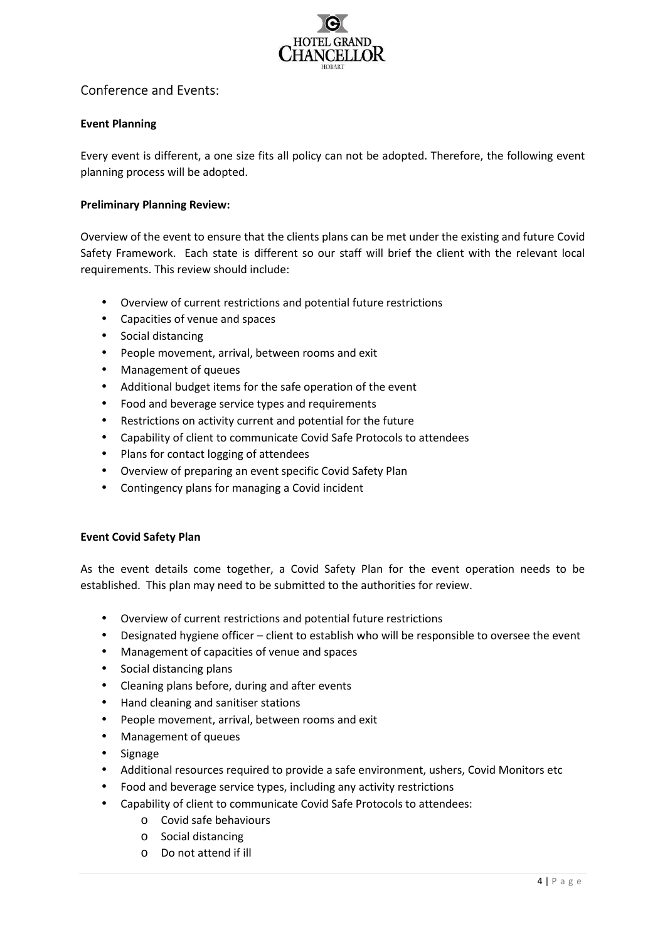

# Conference and Events:

# **Event Planning**

Every event is different, a one size fits all policy can not be adopted. Therefore, the following event planning process will be adopted.

# **Preliminary Planning Review:**

Overview of the event to ensure that the clients plans can be met under the existing and future Covid Safety Framework. Each state is different so our staff will brief the client with the relevant local requirements. This review should include:

- Overview of current restrictions and potential future restrictions
- Capacities of venue and spaces
- Social distancing
- People movement, arrival, between rooms and exit
- Management of queues
- Additional budget items for the safe operation of the event
- Food and beverage service types and requirements
- Restrictions on activity current and potential for the future
- Capability of client to communicate Covid Safe Protocols to attendees
- Plans for contact logging of attendees
- Overview of preparing an event specific Covid Safety Plan
- Contingency plans for managing a Covid incident

## **Event Covid Safety Plan**

As the event details come together, a Covid Safety Plan for the event operation needs to be established. This plan may need to be submitted to the authorities for review.

- Overview of current restrictions and potential future restrictions
- Designated hygiene officer client to establish who will be responsible to oversee the event
- Management of capacities of venue and spaces
- Social distancing plans
- Cleaning plans before, during and after events
- Hand cleaning and sanitiser stations
- People movement, arrival, between rooms and exit
- Management of queues
- **Signage**
- Additional resources required to provide a safe environment, ushers, Covid Monitors etc
- Food and beverage service types, including any activity restrictions
- Capability of client to communicate Covid Safe Protocols to attendees:
	- o Covid safe behaviours
	- o Social distancing
	- o Do not attend if ill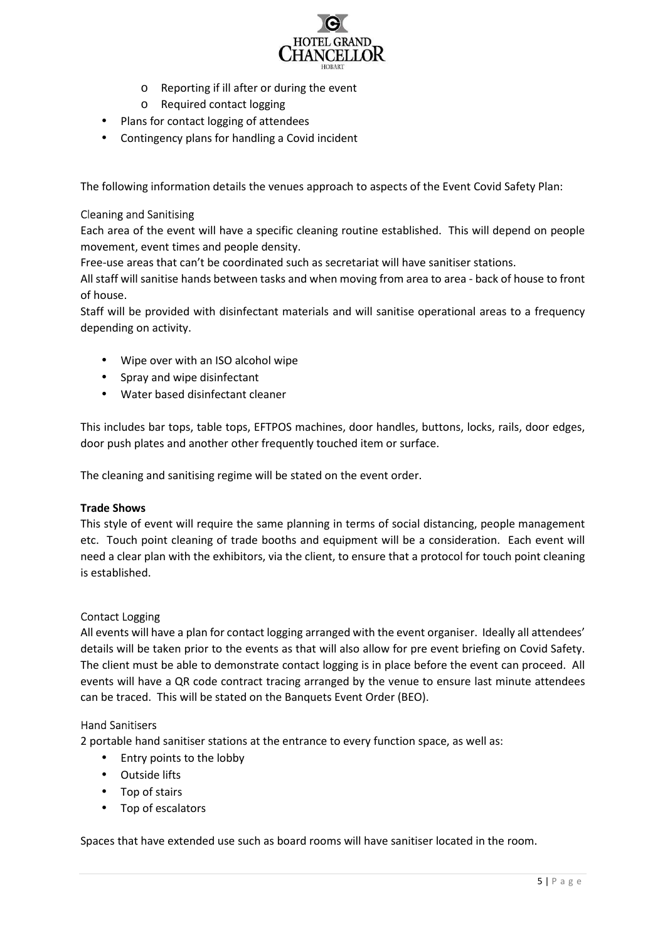

- o Reporting if ill after or during the event
- o Required contact logging
- Plans for contact logging of attendees
- Contingency plans for handling a Covid incident

The following information details the venues approach to aspects of the Event Covid Safety Plan:

# Cleaning and Sanitising

Each area of the event will have a specific cleaning routine established. This will depend on people movement, event times and people density.

Free-use areas that can't be coordinated such as secretariat will have sanitiser stations.

All staff will sanitise hands between tasks and when moving from area to area - back of house to front of house.

Staff will be provided with disinfectant materials and will sanitise operational areas to a frequency depending on activity.

- Wipe over with an ISO alcohol wipe
- Spray and wipe disinfectant
- Water based disinfectant cleaner

This includes bar tops, table tops, EFTPOS machines, door handles, buttons, locks, rails, door edges, door push plates and another other frequently touched item or surface.

The cleaning and sanitising regime will be stated on the event order.

## **Trade Shows**

This style of event will require the same planning in terms of social distancing, people management etc. Touch point cleaning of trade booths and equipment will be a consideration. Each event will need a clear plan with the exhibitors, via the client, to ensure that a protocol for touch point cleaning is established.

## Contact Logging

All events will have a plan for contact logging arranged with the event organiser. Ideally all attendees' details will be taken prior to the events as that will also allow for pre event briefing on Covid Safety. The client must be able to demonstrate contact logging is in place before the event can proceed. All events will have a QR code contract tracing arranged by the venue to ensure last minute attendees can be traced. This will be stated on the Banquets Event Order (BEO).

## Hand Sanitisers

2 portable hand sanitiser stations at the entrance to every function space, as well as:

- Entry points to the lobby
- Outside lifts
- Top of stairs
- Top of escalators

Spaces that have extended use such as board rooms will have sanitiser located in the room.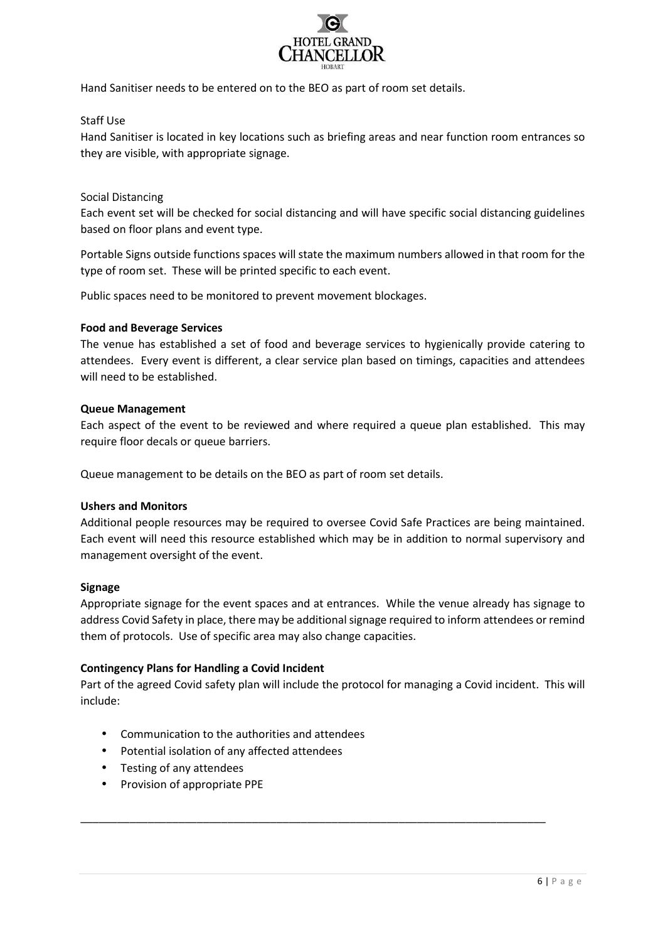

Hand Sanitiser needs to be entered on to the BEO as part of room set details.

# Staff Use

Hand Sanitiser is located in key locations such as briefing areas and near function room entrances so they are visible, with appropriate signage.

# Social Distancing

Each event set will be checked for social distancing and will have specific social distancing guidelines based on floor plans and event type.

Portable Signs outside functions spaces will state the maximum numbers allowed in that room for the type of room set. These will be printed specific to each event.

Public spaces need to be monitored to prevent movement blockages.

## **Food and Beverage Services**

The venue has established a set of food and beverage services to hygienically provide catering to attendees. Every event is different, a clear service plan based on timings, capacities and attendees will need to be established.

# **Queue Management**

Each aspect of the event to be reviewed and where required a queue plan established. This may require floor decals or queue barriers.

Queue management to be details on the BEO as part of room set details.

## **Ushers and Monitors**

Additional people resources may be required to oversee Covid Safe Practices are being maintained. Each event will need this resource established which may be in addition to normal supervisory and management oversight of the event.

## **Signage**

Appropriate signage for the event spaces and at entrances. While the venue already has signage to address Covid Safety in place, there may be additional signage required to inform attendees or remind them of protocols. Use of specific area may also change capacities.

## **Contingency Plans for Handling a Covid Incident**

Part of the agreed Covid safety plan will include the protocol for managing a Covid incident. This will include:

\_\_\_\_\_\_\_\_\_\_\_\_\_\_\_\_\_\_\_\_\_\_\_\_\_\_\_\_\_\_\_\_\_\_\_\_\_\_\_\_\_\_\_\_\_\_\_\_\_\_\_\_\_\_\_\_\_\_\_\_\_\_\_\_\_\_\_\_\_\_\_\_\_\_\_\_

- Communication to the authorities and attendees
- Potential isolation of any affected attendees
- Testing of any attendees
- Provision of appropriate PPE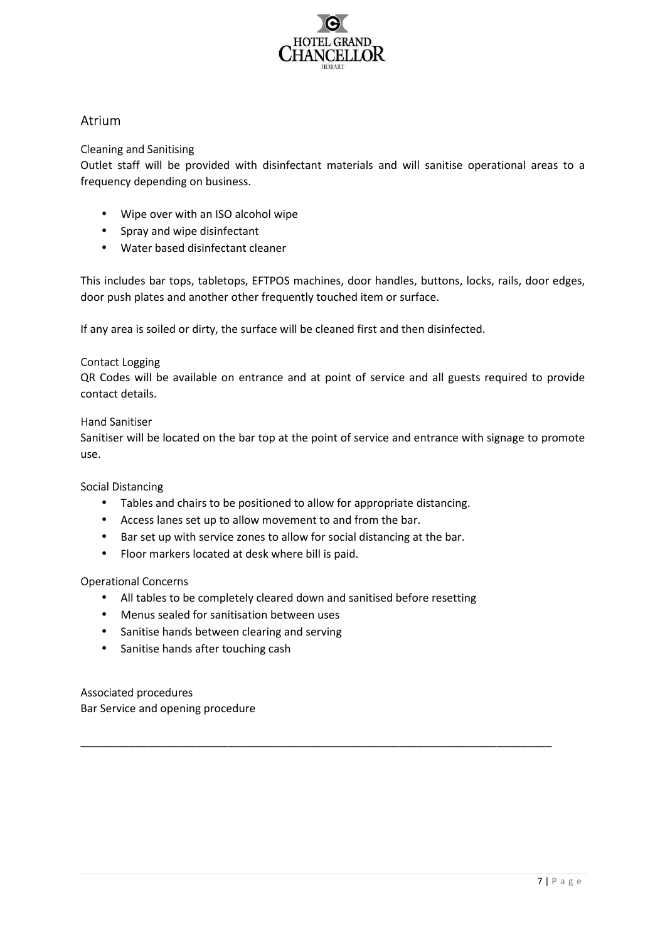

# Atrium

# Cleaning and Sanitising

Outlet staff will be provided with disinfectant materials and will sanitise operational areas to a frequency depending on business.

- Wipe over with an ISO alcohol wipe
- Spray and wipe disinfectant
- Water based disinfectant cleaner

This includes bar tops, tabletops, EFTPOS machines, door handles, buttons, locks, rails, door edges, door push plates and another other frequently touched item or surface.

If any area is soiled or dirty, the surface will be cleaned first and then disinfected.

# Contact Logging

QR Codes will be available on entrance and at point of service and all guests required to provide contact details.

# Hand Sanitiser

Sanitiser will be located on the bar top at the point of service and entrance with signage to promote use.

## Social Distancing

- Tables and chairs to be positioned to allow for appropriate distancing.
- Access lanes set up to allow movement to and from the bar.
- Bar set up with service zones to allow for social distancing at the bar.
- Floor markers located at desk where bill is paid.

# Operational Concerns

• All tables to be completely cleared down and sanitised before resetting

\_\_\_\_\_\_\_\_\_\_\_\_\_\_\_\_\_\_\_\_\_\_\_\_\_\_\_\_\_\_\_\_\_\_\_\_\_\_\_\_\_\_\_\_\_\_\_\_\_\_\_\_\_\_\_\_\_\_\_\_\_\_\_\_\_\_\_\_\_\_\_\_\_\_\_\_\_

- Menus sealed for sanitisation between uses
- Sanitise hands between clearing and serving
- Sanitise hands after touching cash

## Associated procedures

Bar Service and opening procedure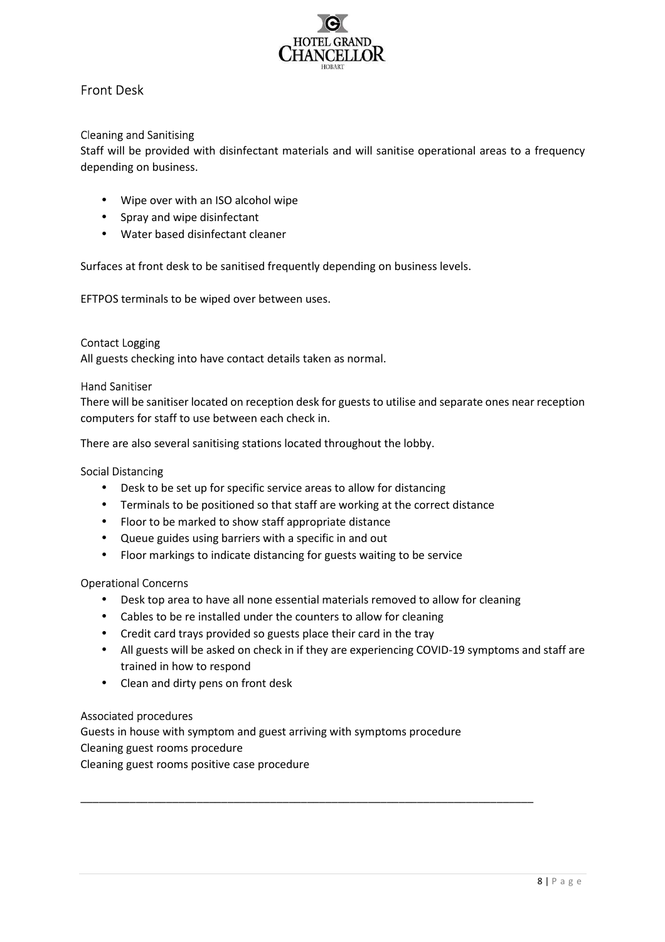

# Front Desk

# Cleaning and Sanitising

Staff will be provided with disinfectant materials and will sanitise operational areas to a frequency depending on business.

- Wipe over with an ISO alcohol wipe
- Spray and wipe disinfectant
- Water based disinfectant cleaner

Surfaces at front desk to be sanitised frequently depending on business levels.

EFTPOS terminals to be wiped over between uses.

#### Contact Logging

All guests checking into have contact details taken as normal.

#### Hand Sanitiser

There will be sanitiser located on reception desk for guests to utilise and separate ones near reception computers for staff to use between each check in.

There are also several sanitising stations located throughout the lobby.

#### Social Distancing

- Desk to be set up for specific service areas to allow for distancing
- Terminals to be positioned so that staff are working at the correct distance
- Floor to be marked to show staff appropriate distance
- Queue guides using barriers with a specific in and out
- Floor markings to indicate distancing for guests waiting to be service

## Operational Concerns

• Desk top area to have all none essential materials removed to allow for cleaning

\_\_\_\_\_\_\_\_\_\_\_\_\_\_\_\_\_\_\_\_\_\_\_\_\_\_\_\_\_\_\_\_\_\_\_\_\_\_\_\_\_\_\_\_\_\_\_\_\_\_\_\_\_\_\_\_\_\_\_\_\_\_\_\_\_\_\_\_\_\_\_\_\_\_

- Cables to be re installed under the counters to allow for cleaning
- Credit card trays provided so guests place their card in the tray
- All guests will be asked on check in if they are experiencing COVID-19 symptoms and staff are trained in how to respond
- Clean and dirty pens on front desk

## Associated procedures

Guests in house with symptom and guest arriving with symptoms procedure Cleaning guest rooms procedure Cleaning guest rooms positive case procedure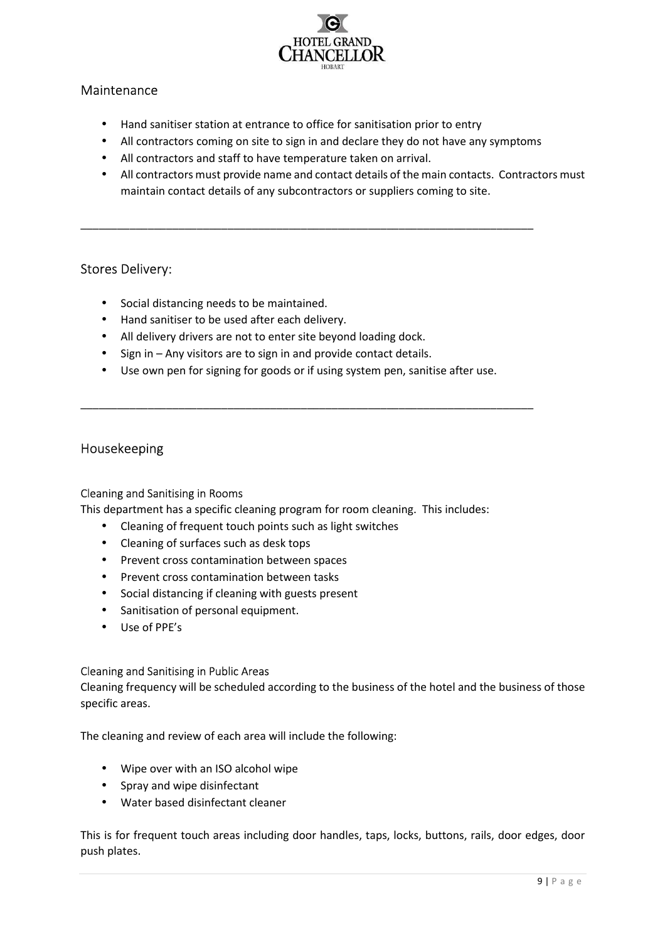

# Maintenance

- Hand sanitiser station at entrance to office for sanitisation prior to entry
- All contractors coming on site to sign in and declare they do not have any symptoms

\_\_\_\_\_\_\_\_\_\_\_\_\_\_\_\_\_\_\_\_\_\_\_\_\_\_\_\_\_\_\_\_\_\_\_\_\_\_\_\_\_\_\_\_\_\_\_\_\_\_\_\_\_\_\_\_\_\_\_\_\_\_\_\_\_\_\_\_\_\_\_\_\_\_

- All contractors and staff to have temperature taken on arrival.
- All contractors must provide name and contact details of the main contacts. Contractors must maintain contact details of any subcontractors or suppliers coming to site.

# Stores Delivery:

- Social distancing needs to be maintained.
- Hand sanitiser to be used after each delivery.
- All delivery drivers are not to enter site beyond loading dock.
- Sign in Any visitors are to sign in and provide contact details.
- Use own pen for signing for goods or if using system pen, sanitise after use.

\_\_\_\_\_\_\_\_\_\_\_\_\_\_\_\_\_\_\_\_\_\_\_\_\_\_\_\_\_\_\_\_\_\_\_\_\_\_\_\_\_\_\_\_\_\_\_\_\_\_\_\_\_\_\_\_\_\_\_\_\_\_\_\_\_\_\_\_\_\_\_\_\_\_

# Housekeeping

## Cleaning and Sanitising in Rooms

This department has a specific cleaning program for room cleaning. This includes:

- Cleaning of frequent touch points such as light switches
- Cleaning of surfaces such as desk tops
- Prevent cross contamination between spaces
- Prevent cross contamination between tasks
- Social distancing if cleaning with guests present
- Sanitisation of personal equipment.
- Use of PPE's

## Cleaning and Sanitising in Public Areas

Cleaning frequency will be scheduled according to the business of the hotel and the business of those specific areas.

The cleaning and review of each area will include the following:

- Wipe over with an ISO alcohol wipe
- Spray and wipe disinfectant
- Water based disinfectant cleaner

This is for frequent touch areas including door handles, taps, locks, buttons, rails, door edges, door push plates.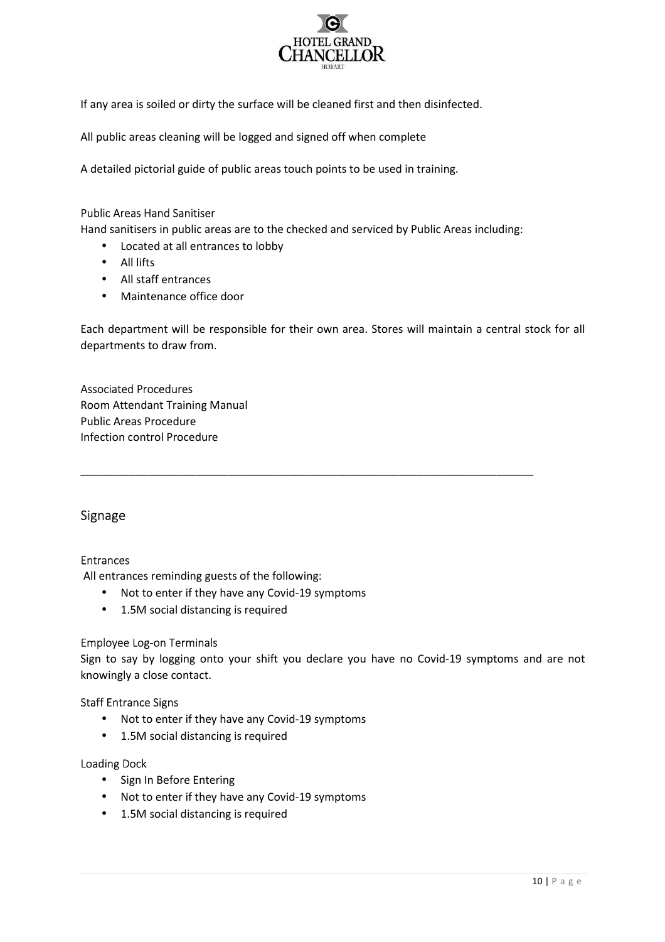

If any area is soiled or dirty the surface will be cleaned first and then disinfected.

All public areas cleaning will be logged and signed off when complete

A detailed pictorial guide of public areas touch points to be used in training.

## Public Areas Hand Sanitiser

Hand sanitisers in public areas are to the checked and serviced by Public Areas including:

- Located at all entrances to lobby
- All lifts
- All staff entrances
- Maintenance office door

Each department will be responsible for their own area. Stores will maintain a central stock for all departments to draw from.

\_\_\_\_\_\_\_\_\_\_\_\_\_\_\_\_\_\_\_\_\_\_\_\_\_\_\_\_\_\_\_\_\_\_\_\_\_\_\_\_\_\_\_\_\_\_\_\_\_\_\_\_\_\_\_\_\_\_\_\_\_\_\_\_\_\_\_\_\_\_\_\_\_\_

## Associated Procedures

Room Attendant Training Manual Public Areas Procedure Infection control Procedure

# Signage

## Entrances

All entrances reminding guests of the following:

- Not to enter if they have any Covid-19 symptoms
- 1.5M social distancing is required

## Employee Log-on Terminals

Sign to say by logging onto your shift you declare you have no Covid-19 symptoms and are not knowingly a close contact.

## Staff Entrance Signs

- Not to enter if they have any Covid-19 symptoms
- 1.5M social distancing is required

## Loading Dock

- Sign In Before Entering
- Not to enter if they have any Covid-19 symptoms
- 1.5M social distancing is required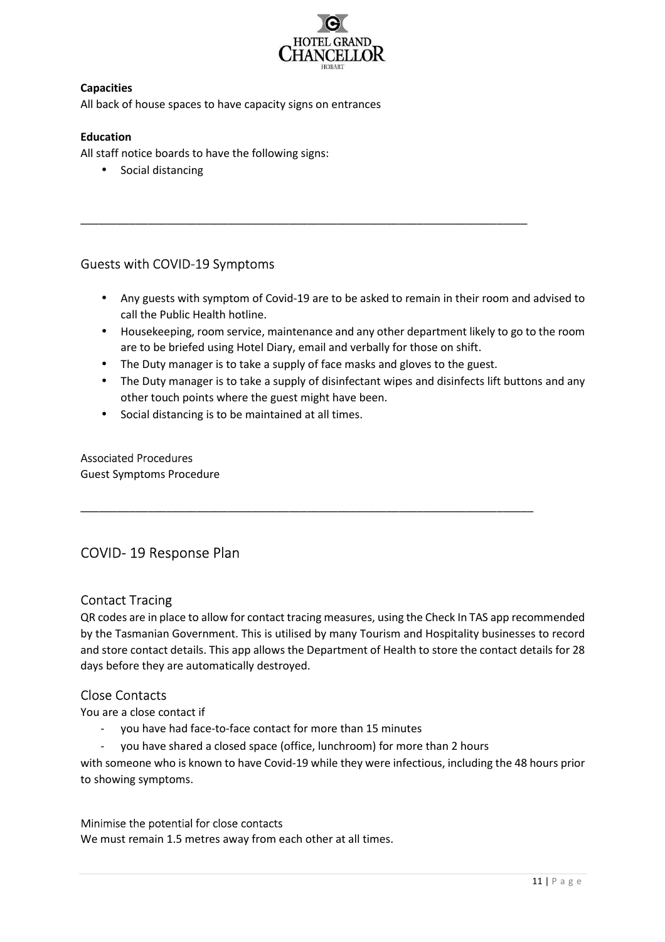

# **Capacities**

All back of house spaces to have capacity signs on entrances

# **Education**

All staff notice boards to have the following signs:

• Social distancing

# Guests with COVID-19 Symptoms

- Any guests with symptom of Covid-19 are to be asked to remain in their room and advised to call the Public Health hotline.
- Housekeeping, room service, maintenance and any other department likely to go to the room are to be briefed using Hotel Diary, email and verbally for those on shift.
- The Duty manager is to take a supply of face masks and gloves to the guest.

\_\_\_\_\_\_\_\_\_\_\_\_\_\_\_\_\_\_\_\_\_\_\_\_\_\_\_\_\_\_\_\_\_\_\_\_\_\_\_\_\_\_\_\_\_\_\_\_\_\_\_\_\_\_\_\_\_\_\_\_\_\_\_\_\_\_\_\_\_\_\_\_\_\_

\_\_\_\_\_\_\_\_\_\_\_\_\_\_\_\_\_\_\_\_\_\_\_\_\_\_\_\_\_\_\_\_\_\_\_\_\_\_\_\_\_\_\_\_\_\_\_\_\_\_\_\_\_\_\_\_\_\_\_\_\_\_\_\_\_\_\_\_\_\_\_\_\_

- The Duty manager is to take a supply of disinfectant wipes and disinfects lift buttons and any other touch points where the guest might have been.
- Social distancing is to be maintained at all times.

# Associated Procedures

Guest Symptoms Procedure

# COVID- 19 Response Plan

# Contact Tracing

QR codes are in place to allow for contact tracing measures, using the Check In TAS app recommended by the Tasmanian Government. This is utilised by many Tourism and Hospitality businesses to record and store contact details. This app allows the Department of Health to store the contact details for 28 days before they are automatically destroyed.

# Close Contacts

You are a close contact if

- you have had face-to-face contact for more than 15 minutes
- you have shared a closed space (office, lunchroom) for more than 2 hours

with someone who is known to have Covid-19 while they were infectious, including the 48 hours prior to showing symptoms.

## Minimise the potential for close contacts

We must remain 1.5 metres away from each other at all times.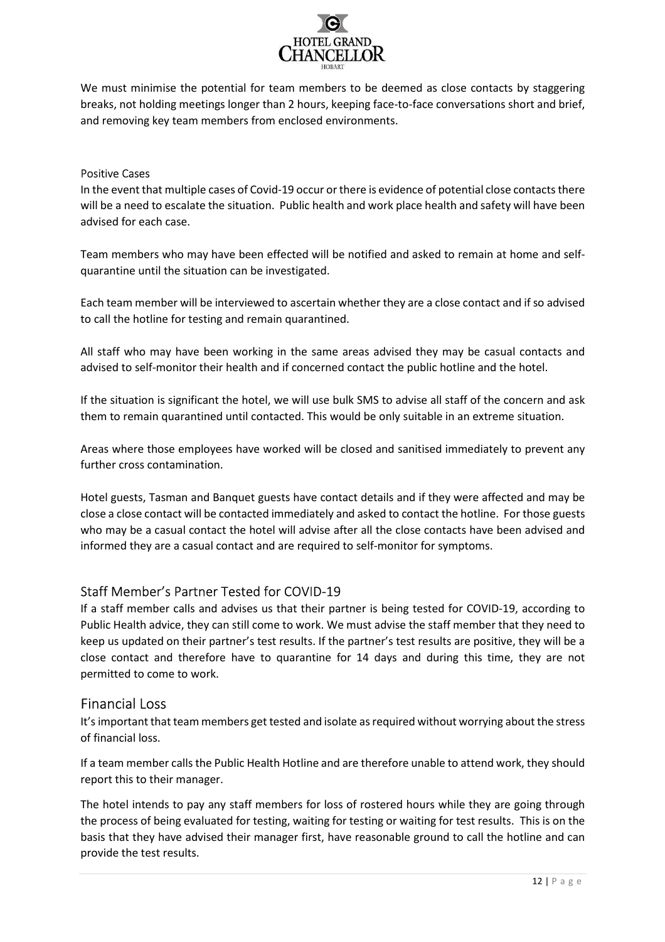

We must minimise the potential for team members to be deemed as close contacts by staggering breaks, not holding meetings longer than 2 hours, keeping face-to-face conversations short and brief, and removing key team members from enclosed environments.

## Positive Cases

In the event that multiple cases of Covid-19 occur or there is evidence of potential close contacts there will be a need to escalate the situation. Public health and work place health and safety will have been advised for each case.

Team members who may have been effected will be notified and asked to remain at home and selfquarantine until the situation can be investigated.

Each team member will be interviewed to ascertain whether they are a close contact and if so advised to call the hotline for testing and remain quarantined.

All staff who may have been working in the same areas advised they may be casual contacts and advised to self-monitor their health and if concerned contact the public hotline and the hotel.

If the situation is significant the hotel, we will use bulk SMS to advise all staff of the concern and ask them to remain quarantined until contacted. This would be only suitable in an extreme situation.

Areas where those employees have worked will be closed and sanitised immediately to prevent any further cross contamination.

Hotel guests, Tasman and Banquet guests have contact details and if they were affected and may be close a close contact will be contacted immediately and asked to contact the hotline. For those guests who may be a casual contact the hotel will advise after all the close contacts have been advised and informed they are a casual contact and are required to self-monitor for symptoms.

# Staff Member's Partner Tested for COVID-19

If a staff member calls and advises us that their partner is being tested for COVID-19, according to Public Health advice, they can still come to work. We must advise the staff member that they need to keep us updated on their partner's test results. If the partner's test results are positive, they will be a close contact and therefore have to quarantine for 14 days and during this time, they are not permitted to come to work.

# Financial Loss

It's important that team members get tested and isolate as required without worrying about the stress of financial loss.

If a team member calls the Public Health Hotline and are therefore unable to attend work, they should report this to their manager.

The hotel intends to pay any staff members for loss of rostered hours while they are going through the process of being evaluated for testing, waiting for testing or waiting for test results. This is on the basis that they have advised their manager first, have reasonable ground to call the hotline and can provide the test results.